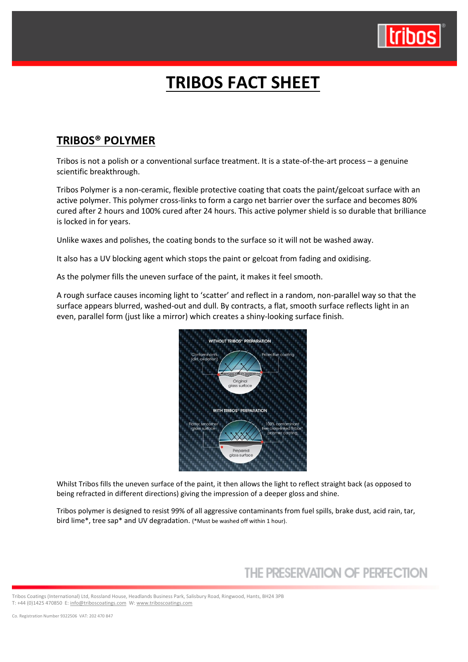

# **TRIBOS FACT SHEET**

### **TRIBOS® POLYMER**

Tribos is not a polish or a conventional surface treatment. It is a state-of-the-art process – a genuine scientific breakthrough.

Tribos Polymer is a non-ceramic, flexible protective coating that coats the paint/gelcoat surface with an active polymer. This polymer cross-links to form a cargo net barrier over the surface and becomes 80% cured after 2 hours and 100% cured after 24 hours. This active polymer shield is so durable that brilliance is locked in for years.

Unlike waxes and polishes, the coating bonds to the surface so it will not be washed away.

It also has a UV blocking agent which stops the paint or gelcoat from fading and oxidising.

As the polymer fills the uneven surface of the paint, it makes it feel smooth.

A rough surface causes incoming light to 'scatter' and reflect in a random, non-parallel way so that the surface appears blurred, washed-out and dull. By contracts, a flat, smooth surface reflects light in an even, parallel form (just like a mirror) which creates a shiny-looking surface finish.



Whilst Tribos fills the uneven surface of the paint, it then allows the light to reflect straight back (as opposed to being refracted in different directions) giving the impression of a deeper gloss and shine.

Tribos polymer is designed to resist 99% of all aggressive contaminants from fuel spills, brake dust, acid rain, tar, bird lime\*, tree sap\* and UV degradation. (\*Must be washed off within 1 hour).

# THE PRESERVATION OF PERFECTION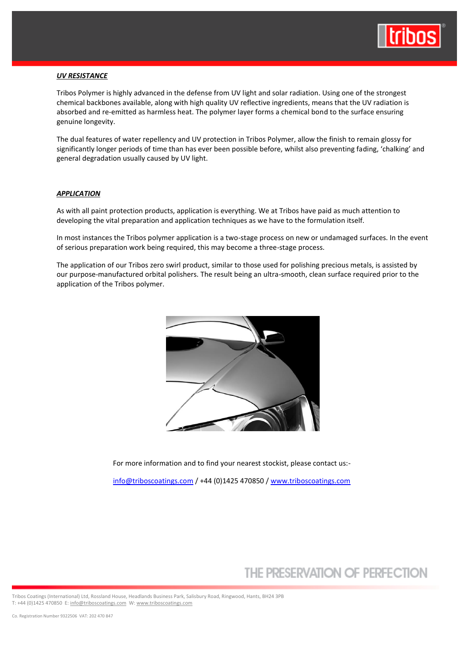

#### *UV RESISTANCE*

Tribos Polymer is highly advanced in the defense from UV light and solar radiation. Using one of the strongest chemical backbones available, along with high quality UV reflective ingredients, means that the UV radiation is absorbed and re-emitted as harmless heat. The polymer layer forms a chemical bond to the surface ensuring genuine longevity.

The dual features of water repellency and UV protection in Tribos Polymer, allow the finish to remain glossy for significantly longer periods of time than has ever been possible before, whilst also preventing fading, 'chalking' and general degradation usually caused by UV light.

#### *APPLICATION*

As with all paint protection products, application is everything. We at Tribos have paid as much attention to developing the vital preparation and application techniques as we have to the formulation itself.

In most instances the Tribos polymer application is a two-stage process on new or undamaged surfaces. In the event of serious preparation work being required, this may become a three-stage process.

The application of our Tribos zero swirl product, similar to those used for polishing precious metals, is assisted by our purpose-manufactured orbital polishers. The result being an ultra-smooth, clean surface required prior to the application of the Tribos polymer.



For more information and to find your nearest stockist, please contact us:-

[info@triboscoatings.com](mailto:info@triboscoatings.com) / +44 (0)1425 470850 / [www.triboscoatings.com](http://www.triboscoatings.com/)

### THE PRESERVATION OF PERFECTION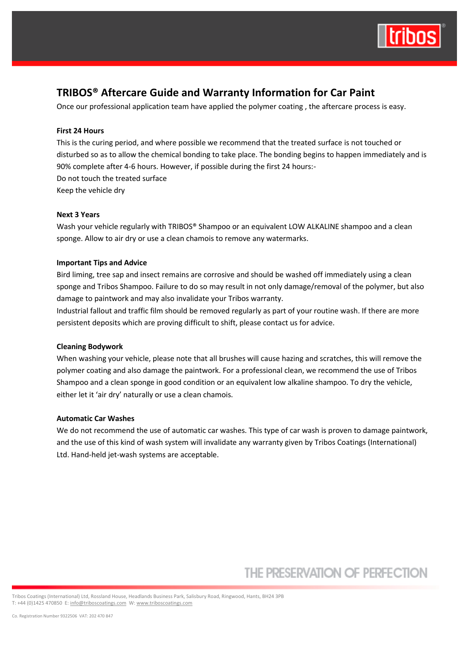

### **TRIBOS® Aftercare Guide and Warranty Information for Car Paint**

Once our professional application team have applied the polymer coating , the aftercare process is easy.

#### **First 24 Hours**

This is the curing period, and where possible we recommend that the treated surface is not touched or disturbed so as to allow the chemical bonding to take place. The bonding begins to happen immediately and is 90% complete after 4-6 hours. However, if possible during the first 24 hours:- Do not touch the treated surface Keep the vehicle dry

#### **Next 3 Years**

Wash your vehicle regularly with TRIBOS® Shampoo or an equivalent LOW ALKALINE shampoo and a clean sponge. Allow to air dry or use a clean chamois to remove any watermarks.

#### **Important Tips and Advice**

Bird liming, tree sap and insect remains are corrosive and should be washed off immediately using a clean sponge and Tribos Shampoo. Failure to do so may result in not only damage/removal of the polymer, but also damage to paintwork and may also invalidate your Tribos warranty.

Industrial fallout and traffic film should be removed regularly as part of your routine wash. If there are more persistent deposits which are proving difficult to shift, please contact us for advice.

#### **Cleaning Bodywork**

When washing your vehicle, please note that all brushes will cause hazing and scratches, this will remove the polymer coating and also damage the paintwork. For a professional clean, we recommend the use of Tribos Shampoo and a clean sponge in good condition or an equivalent low alkaline shampoo. To dry the vehicle, either let it 'air dry' naturally or use a clean chamois.

#### **Automatic Car Washes**

We do not recommend the use of automatic car washes. This type of car wash is proven to damage paintwork, and the use of this kind of wash system will invalidate any warranty given by Tribos Coatings (International) Ltd. Hand-held jet-wash systems are acceptable.

# THE PRESERVATION OF PERFECTION